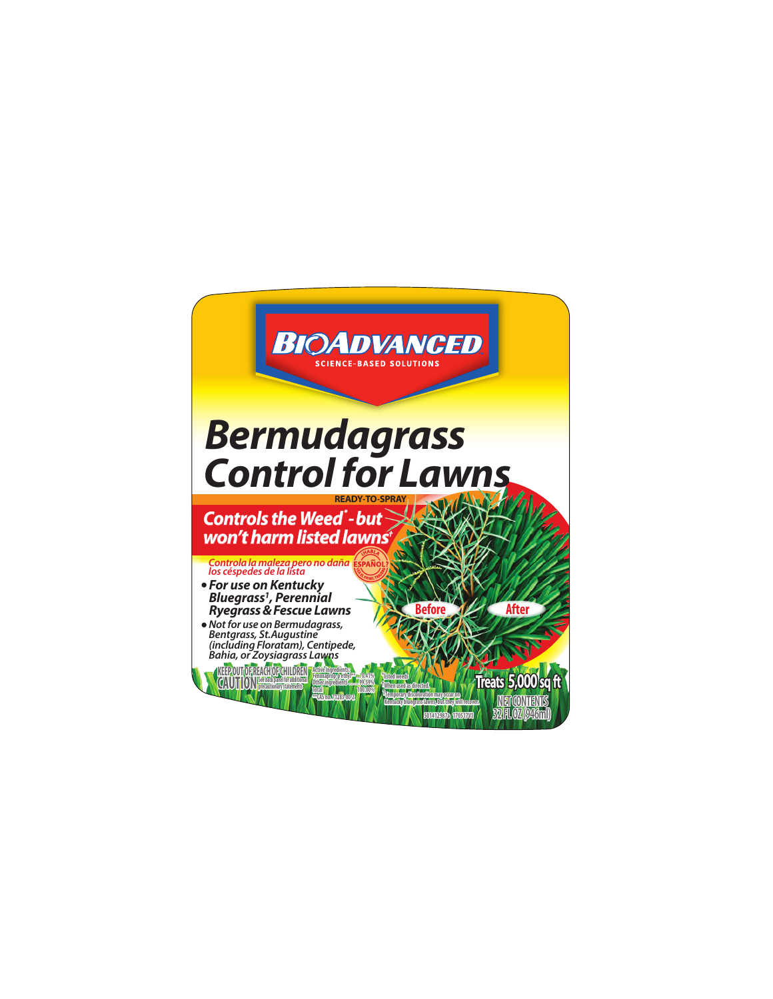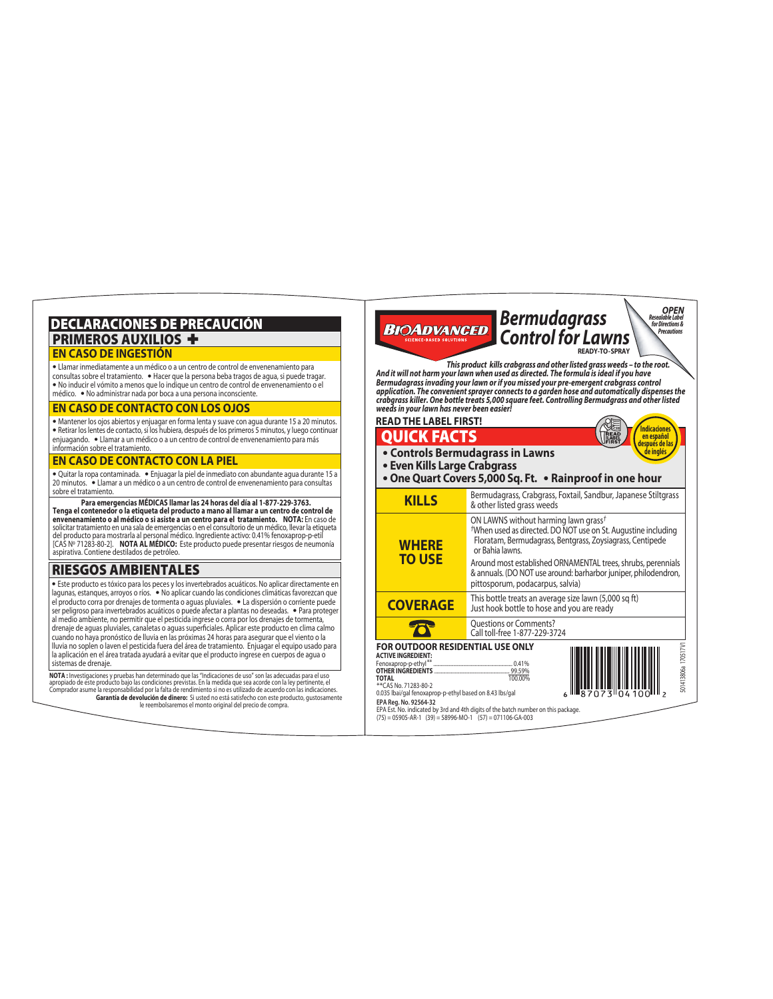# DECLARACIONES DE PRECAUCIÓN PRIMEROS AUXILIOS + **EN CASO DE INGESTIÓN**

**•** Llamar inmediatamente a un médico o a un centro de control de envenenamiento para

consultas sobre el tratamiento. **•** Hacer que la persona beba tragos de agua, si puede tragar. **•** No inducir el vómito a menos que lo indique un centro de control de envenenamiento o el médico. **•** No administrar nada por boca a una persona inconsciente.

#### **EN CASO DE CONTACTO CON LOS OJOS**

**•** Mantener los ojos abiertos y enjuagar en forma lenta y suave con agua durante 15 a 20 minutos. **•** Retirar los lentes de contacto, si los hubiera, después de los primeros 5 minutos, y luego continuar enjuagando. **•** Llamar a un médico o a un centro de control de envenenamiento para más información sobre el tratamiento.

#### **EN CASO DE CONTACTO CON LA PIEL**

**•** Quitar la ropa contaminada. **•** Enjuagar la piel de inmediato con abundante agua durante 15 a 20 minutos. **•** Llamar a un médico o a un centro de control de envenenamiento para consultas sobre el tratamiento.

 **Para emergencias MÉDICAS llamar las 24 horas del día al 1-877-229-3763. Tenga el contenedor o la etiqueta del producto a mano al llamar a un centro de control de envenenamiento o al médico o si asiste a un centro para el tratamiento. NOTA:** En caso de solicitar tratamiento en una sala de emergencias o en el consultorio de un médico, llevar la etiqueta<br>del producto para mostrarla al personal médico. Ingrediente activo: 0.41% fenoxaprop-p-etil<br>[CAS Nº 71283-80-2]. **NOT** aspirativa. Contiene destilados de petróleo.

# RIESGOS AMBIENTALES

**•** Este producto es tóxico para los peces y los invertebrados acuáticos. No aplicar directamente en lagunas, estanques, arroyos o ríos. **•** No aplicar cuando las condiciones climáticas favorezcan que el producto corra por drenajes de tormenta o aguas pluviales. **•** La dispersión o corriente puede ser peligroso para invertebrados acuáticos o puede afectar a plantas no deseadas. **•** Para proteger al medio ambiente, no permitir que el pesticida ingrese o corra por los drenajes de tormenta, drenaje de aguas pluviales, canaletas o aguas superficiales. Aplicar este producto en clima calmo cuando no haya pronóstico de lluvia en las próximas 24 horas para asegurar que el viento o la lluvia no soplen o laven el pesticida fuera del área de tratamiento. Enjuagar el equipo usado para la aplicación en el área tratada ayudará a evitar que el producto ingrese en cuerpos de agua o sistemas de drenaje.

**Garantía de devolución de dinero:** Si usted no está satisfecho con este producto, gustosamente le reembolsaremos el monto original del precio de compra. **NOTA :** Investigaciones y pruebas han determinado que las "Indicaciones de uso" son las adecuadas para el uso<br>apropiado de este producto bajo las condiciones previstas. En la medida que sea acorde con la ley pertinente, e

**BIOADVANCED** *Control for Lawns Precautions* **READY-TO-SPRAY**  *This product kills crabgrass and other listed grass weeds – to the root. And it will not harm your lawn when used as directed. The formula is ideal if you have Bermudagrass invading your lawn or if you missed your pre-emergent crabgrass control application. The convenient sprayer connects to a garden hose and automatically dispenses the crabgrass killer. One bottle treats 5,000 square feet. Controlling Bermudgrass and other listed weeds in your lawn has never been easier!***READ THE LABEL FIRST! CAREER Indicaciones en español después de las de inglés** QUICK FACTS **• Controls Bermudagrass in Lawns • Even Kills Large Crabgrass • One Quart Covers 5,000 Sq. Ft. • Rainproof in one hour** Bermudagrass, Crabgrass, Foxtail, Sandbur, Japanese Stiltgrass **KILLS** & other listed grass weeds ON LAWNS without harming lawn grass*† †*When used as directed. DO NOT use on St. Augustine including Floratam, Bermudagrass, Bentgrass, Zoysiagrass, Centipede **WHERE** or Bahia lawns. **TO USE** Around most established ORNAMENTAL trees, shrubs, perennials & annuals. (DO NOT use around: barharbor juniper, philodendron, pittosporum, podacarpus, salvia)

*Bermudagrass*

*OPEN Resealable Label for Directions &*

This bottle treats an average size lawn (5,000 sq ft) **COVERAGE** Just hook bottle to hose and you are ready Questions or Comments? 75 Call toll-free 1-877-229-3724  **FOR OUTDOOR RESIDENTIAL USE ONLY** 501413806a 170517V1 170517V **ACTIVE INGREDIENT:** Fenoxaprop-p-ethyl\*\* ............................................................... 0.41% **OTHER INGREDIENTS** ............................................................ 99.59% 601413806a **TOTAL** 100.00%<br>\*\*CAS No. 71283-80-2<br>0.035 Ibai/gal fenoxaprop-p-ethyl based on 8.43 Ibs/gal **EPA Reg. No. 92564-32**<br>EPA Est. No. indicated by 3rd and 4th digits of the batch number on this package.<br>(75) = 05905-AR-1 (39) = 58996-MO-1 (57) = 071106-GA-003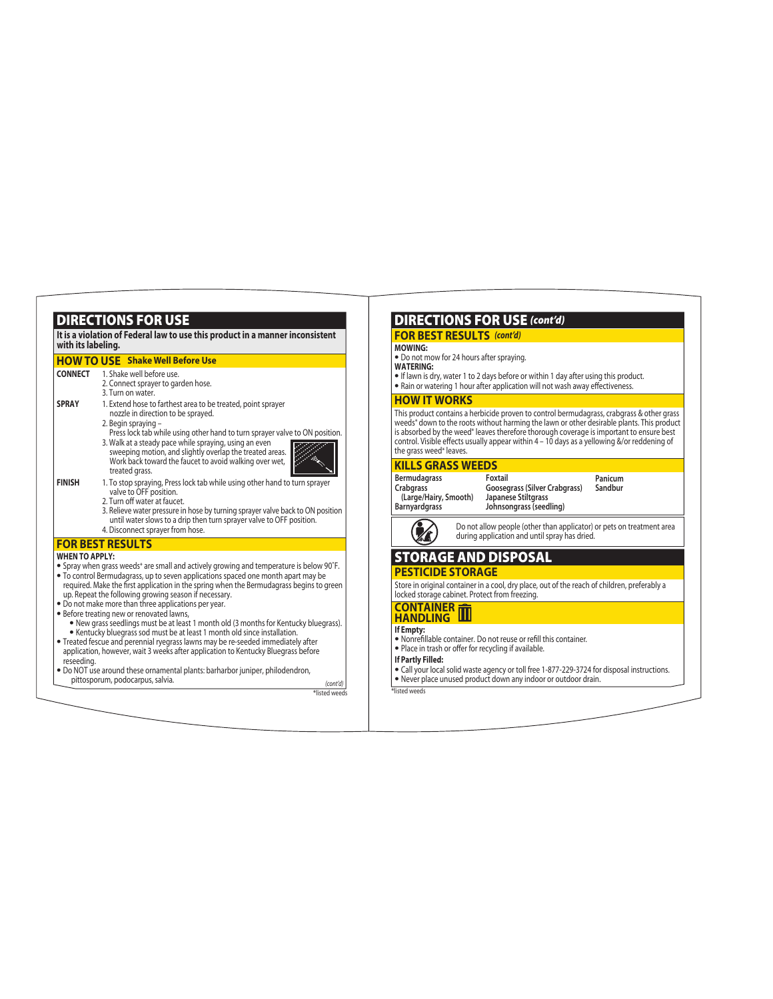|                                     | <b>HOW TO USE</b> Shake Well Before Use                                                                                                                                                                                                                                                                                                                                                                                                                                                                                                                                                                                                                                                                                                                                               |
|-------------------------------------|---------------------------------------------------------------------------------------------------------------------------------------------------------------------------------------------------------------------------------------------------------------------------------------------------------------------------------------------------------------------------------------------------------------------------------------------------------------------------------------------------------------------------------------------------------------------------------------------------------------------------------------------------------------------------------------------------------------------------------------------------------------------------------------|
| <b>CONNECT</b>                      | 1. Shake well before use.<br>2. Connect sprayer to garden hose.<br>3. Turn on water.                                                                                                                                                                                                                                                                                                                                                                                                                                                                                                                                                                                                                                                                                                  |
| <b>SPRAY</b>                        | 1. Extend hose to farthest area to be treated, point sprayer<br>nozzle in direction to be sprayed.<br>2. Begin spraying -<br>Press lock tab while using other hand to turn sprayer valve to ON position.<br>3. Walk at a steady pace while spraying, using an even<br>sweeping motion, and slightly overlap the treated areas.<br>Work back toward the faucet to avoid walking over wet,<br>treated grass.                                                                                                                                                                                                                                                                                                                                                                            |
| <b>FINISH</b>                       | 1. To stop spraying, Press lock tab while using other hand to turn sprayer<br>valve to OFF position.<br>2. Turn off water at faucet.<br>3. Relieve water pressure in hose by turning sprayer valve back to ON position<br>until water slows to a drip then turn sprayer valve to OFF position.<br>4. Disconnect sprayer from hose.                                                                                                                                                                                                                                                                                                                                                                                                                                                    |
|                                     | <b>FOR BEST RESULTS</b>                                                                                                                                                                                                                                                                                                                                                                                                                                                                                                                                                                                                                                                                                                                                                               |
| <b>WHEN TO APPLY:</b><br>reseeding. | • Spray when grass weeds* are small and actively growing and temperature is below 90°F.<br>• To control Bermudagrass, up to seven applications spaced one month apart may be<br>required. Make the first application in the spring when the Bermudagrass begins to green<br>up. Repeat the following growing season if necessary.<br>. Do not make more than three applications per year.<br>• Before treating new or renovated lawns,<br>• New grass seedlings must be at least 1 month old (3 months for Kentucky bluegrass).<br>• Kentucky bluegrass sod must be at least 1 month old since installation.<br>• Treated fescue and perennial ryegrass lawns may be re-seeded immediately after<br>application, however, wait 3 weeks after application to Kentucky Bluegrass before |
|                                     | • Do NOT use around these ornamental plants: barharbor juniper, philodendron,<br>pittosporum, podocarpus, salvia.                                                                                                                                                                                                                                                                                                                                                                                                                                                                                                                                                                                                                                                                     |

DIRECTIONS FOR LISE

# DIRECTIONS FOR USE *(cont'd)*

# **FOR BEST RESULTS** *(cont'd)*

### **MOWING:**

- **•** Do not mow for 24 hours after spraying.
- **WATERING:**
- **•**If lawn is dry, water 1 to 2 days before or within 1 day after using this product.
- Rain or watering 1 hour after application will not wash away effectiveness.

# **HOW IT WORKS**

This product contains a herbicide proven to control bermudagrass, crabgrass & other grass weeds\* down to the roots without harming the lawn or other desirable plants. This product is absorbed by the weed\* leaves therefore thorough coverage is important to ensure best control. Visible effects usually appear within 4 – 10 days as a yellowing &/or reddening of<br>the grass weed\* leaves.

### **KILLS GRASS WEEDS**

**Bermudagrass Crabgrass (Large/Hairy, Smooth) Barnyardgrass** 

**Goosegrass (Silver Crabgrass) Japanese Stiltgrass Panicum Sandbur**



**Johnsongrass (seedling)** Do not allow people (other than applicator) or pets on treatment area during application and until spray has dried.

# STORAGE AND DISPOSAL

**Foxtail**

### **PESTICIDE STORAGE**

Store in original container in a cool, dry place, out of the reach of children, preferably a locked storage cabinet. Protect from freezing.

#### **CONTAINER HANDLING**

- 
- **If Empty:**<br>• Nonrefillable container. Do not reuse or refill this container.<br>• Place in trash or offer for recycling if available.
- 

# **If Partly Filled:**

**•** Call your local solid waste agency or toll free 1-877-229-3724 for disposal instructions. **•** Never place unused product down any indoor or outdoor drain.

*(cont'd)* \*listed weeds \*listed weeds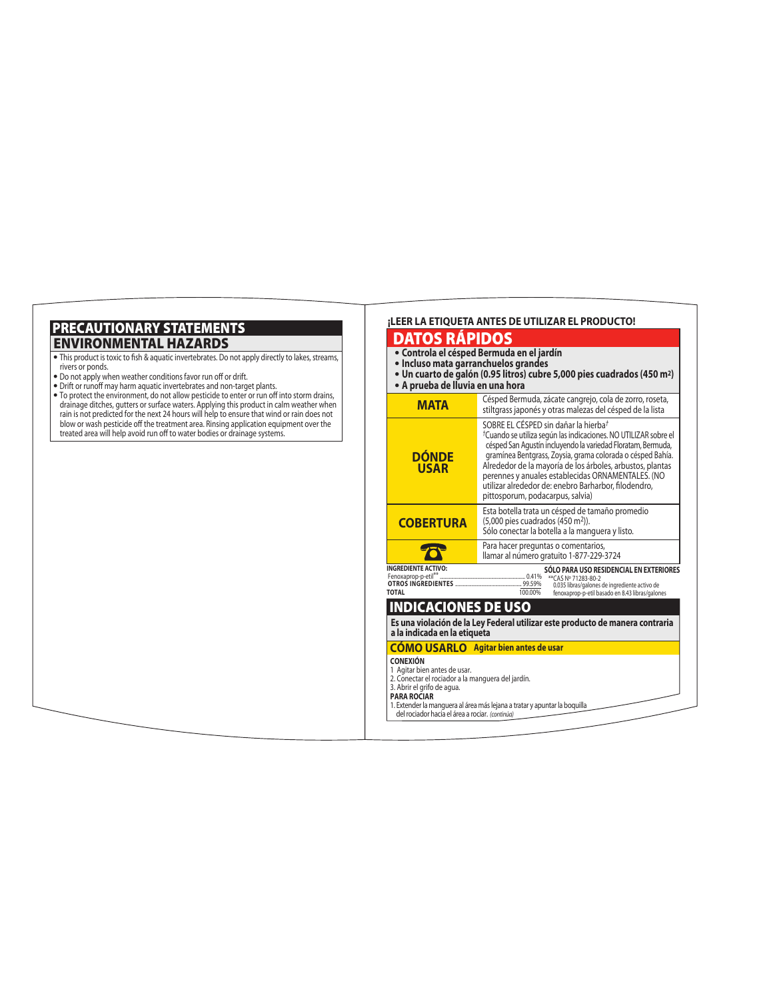# ENVIRONMENTAL HAZARDS PRECAUTIONARY STATEMENTS

- This product is toxic to fish & aquatic invertebrates. Do not apply directly to lakes, streams, rivers or ponds.
- Do not apply when weather conditions favor run off or drift.
- Drift or runoff may harm aquatic invertebrates and non-target plants.
- To protect the environment, do not allow pesticide to enter or run off into storm drains, drainage ditches, gutters or surface waters. Applying this product in calm weather when rain is not predicted for the next 24 hours will help to ensure that wind or rain does not blow or wash pesticide off the treatment area. Rinsing application equipment over the treated area will help avoid run off to water bodies or drainage systems.

#### **¡LEER LA ETIQUETA ANTES DE UTILIZAR EL PRODUCTO!** DATOS RÁPIDOS **• Controla el césped Bermuda en el jardín • Incluso mata garranchuelos grandes • Un cuarto de galón (0.95 litros) cubre 5,000 pies cuadrados (450 m2) • A prueba de lluvia en una hora** Césped Bermuda, zácate cangrejo, cola de zorro, roseta, **MATA** stiltgrass japonés y otras malezas del césped de la lista SOBRE EL CÉSPED sin dañar la hierba*† †*Cuando se utiliza según las indicaciones. NO UTILIZAR sobre el césped San Agustín incluyendo la variedad Floratam, Bermuda, **DÓNDE** gramínea Bentgrass, Zoysia, grama colorada o césped Bahía. Alrededor de la mayoría de los árboles, arbustos, plantas **USAR** perennes y anuales establecidas ORNAMENTALES. (NO utilizar alrededor de: enebro Barharbor, filodendro, pittosporum, podacarpus, salvia) Esta botella trata un césped de tamaño promedio **COBERTURA** (5,000 pies cuadrados (450 m2)). Sólo conectar la botella a la manguera y listo. Para hacer preguntas o comentarios,  $\boldsymbol{\mathcal{D}}$ llamar al número gratuito 1-877-229-3724 **INGREDIENTE ACTIVO: SÓLO PARA USO RESIDENCIAL EN EXTERIORES** Fenoxaprop-p-etil\*\* .................................................................... 0.41% **OTROS INGREDIENTES** ..................................................... 99.59% \*\*CAS Nº 71283-80-2 0.035 libras/galones de ingrediente activo de fenoxaprop-p-etil basado en 8.43 libras/galones **TOTAL** 100.00% INDICACIONES DE USO **Es una violación de la Ley Federal utilizar este producto de manera contraria a la indicada en la etiqueta CÓMO USARLO Agitar bien antes de usar CONEXIÓN** 1 Agitar bien antes de usar. 2. Conectar el rociador a la manguera del jardín. 3. Abrir el grifo de agua. **PARA ROCIAR**  1. Extender la manguera al área más lejana a tratar y apuntar la boquilla *(continúa)* del rociador hacia el área a rociar.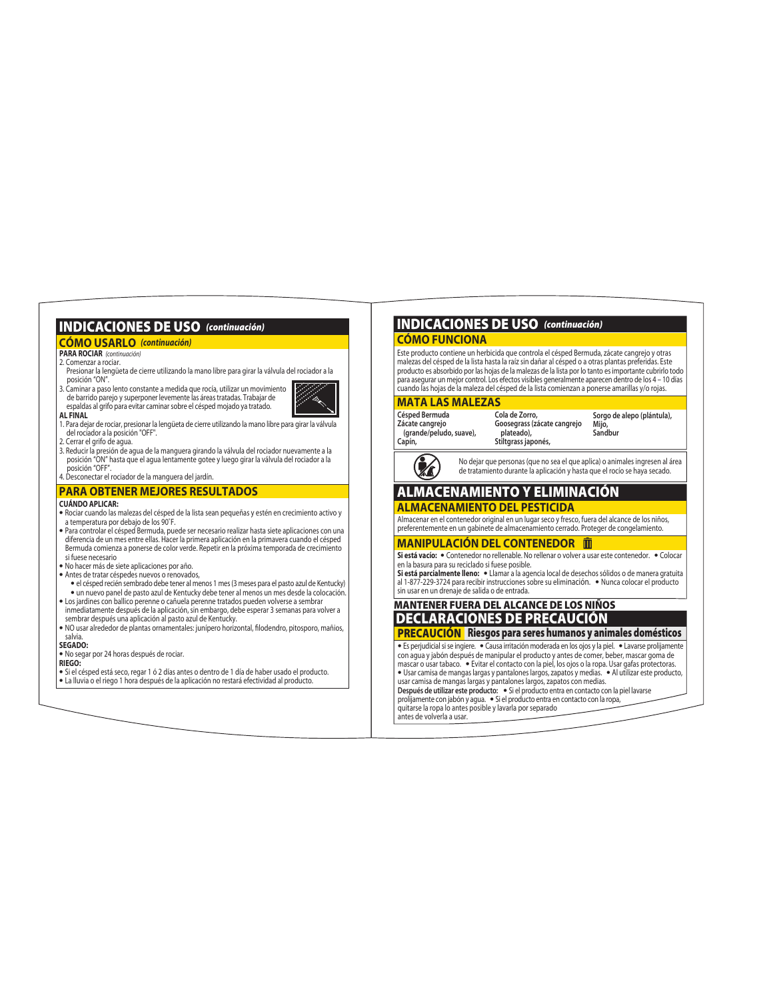# INDICACIONES DE USO *(continuación)*

# **CÓMO USARLO** *(continuación)* **CÓMO FUNCIONA**

#### **PARA ROCIAR** *(continuación)* 2. Comenzar a rociar.

- Presionar la lengüeta de cierre utilizando la mano libre para girar la válvula del rociador a la posición "ON".
- 3. Caminar a paso lento constante a medida que rocía, utilizar un movimiento de barrido parejo y superponer levemente las áreas tratadas. Trabajar de espaldas al grifo para evitar caminar sobre el césped mojado ya tratado. **AL FINAL**



- 1. Para dejar de rociar, presionar la lengüeta de cierre utilizando la mano libre para girar la válvula del rociador a la posición "OFF".
- 
- 2. Cerrar el grifo de agua. 3. Reducir la presión de agua de la manguera girando la válvula del rociador nuevamente a la posición "ON" hasta que el agua lentamente gotee y luego girar la válvula del rociador a la posición "OFF". 4. Desconectar el rociador de la manguera del jardín.
- 

#### **PARA OBTENER MEJORES RESULTADOS**

#### **CUÁNDO APLICAR:**

- **•** Rociar cuando las malezas del césped de la lista sean pequeñas y estén en crecimiento activo y a temperatura por debajo de los 90°F.
- **•** Para controlar el césped Bermuda, puede ser necesario realizar hasta siete aplicaciones con una diferencia de un mes entre ellas. Hacer la primera aplicación en la primavera cuando el césped Bermuda comienza a ponerse de color verde. Repetir en la próxima temporada de crecimiento si fuese necesario
- **•** No hacer más de siete aplicaciones por año.
- **•** Antes de tratar céspedes nuevos o renovados,  **•** el césped recién sembrado debe tener al menos 1 mes (3 meses para el pasto azul de Kentucky)
- **•** un nuevo panel de pasto azul de Kentucky debe tener al menos un mes desde la colocación.
- **•** Los jardines con ballico perenne o cañuela perenne tratados pueden volverse a sembrar inmediatamente después de la aplicación, sin embargo, debe esperar 3 semanas para volver a sembrar después una aplicación al pasto azul de Kentucky.
- NO usar alrededor de plantas ornamentales: junípero horizontal, filodendro, pitosporo, mañios, salvia.

#### **SEGADO:**

**•** No segar por 24 horas después de rociar.

**RIEGO:**

**•** Si el césped está seco, regar 1 ó 2 días antes o dentro de 1 día de haber usado el producto. **•** La lluvia o el riego 1 hora después de la aplicación no restará efectividad al producto.

# INDICACIONES DE USO *(continuación)*

Este producto contiene un herbicida que controla el césped Bermuda, zácate cangrejo y otras malezas del césped de la lista hasta la raíz sin dañar al césped o a otras plantas preferidas. Este producto es absorbido por las hojas de la malezas de la lista por lo tanto es importante cubrirlo todo para asegurar un mejor control. Los efectos visibles generalmente aparecen dentro de los 4 – 10 días cuando las hojas de la maleza del césped de la lista comienzan a ponerse amarillas y/o rojas.

### **MATA LAS MALEZAS**

**Césped Bermuda Zácate cangrejo (grande/peludo, suave), Capín,** 

**Cola de Zorro, Goosegrass (zácate cangrejo plateado), Stiltgrass japonés, Sorgo de alepo (plántula), Mijo, Sandbur**



No dejar que personas (que no sea el que aplica) o animales ingresen al área de tratamiento durante la aplicación y hasta que el rocío se haya secado.

# ALMACENAMIENTO Y ELIMINACIÓN

# **ALMACENAMIENTO DEL PESTICIDA**

Almacenar en el contenedor original en un lugar seco y fresco, fuera del alcance de los niños, preferentemente en un gabinete de almacenamiento cerrado. Proteger de congelamiento.

#### **MANIPULACIÓN DEL CONTENEDOR**

**Si está vacío: •** Contenedor no rellenable. No rellenar o volver a usar este contenedor. **•** Colocar en la basura para su reciclado si fuese posible. **Si está parcialmente lleno: •** Llamar a la agencia local de desechos sólidos o de manera gratuita

al 1-877-229-3724 para recibir instrucciones sobre su eliminación. **•** Nunca colocar el producto sin usar en un drenaje de salida o de entrada.

# MANTENER FUERA DEL ALCANCE DE LOS NIÑOS DECLARACIONES DE PRECAUCIÓN

## **PRECAUCIÓN** Riesgos para seres humanos y animales domésticos

**•** Es perjudicial si se ingiere. **•** Causa irritación moderada en los ojos y la piel. **•** Lavarse prolijamente con agua y jabón después de manipular el producto y antes de comer, beber, mascar goma de mascar o usar tabaco. **•** Evitar el contacto con la piel, los ojos o la ropa. Usar gafas protectoras. **•** Usar camisa de mangas largas y pantalones largos, zapatos y medias. **•** Al utilizar este producto, usar camisa de mangas largas y pantalones largos, zapatos con medias. **Después de utilizar este producto: •** Si el producto entra en contacto con la piel lavarse prolijamente con jabón y agua. **•** Si el producto entra en contacto con la ropa, quitarse la ropa lo antes posible y lavarla por separado antes de volverla a usar.